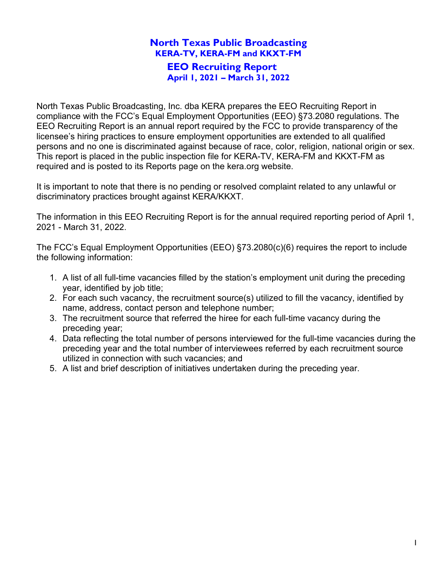North Texas Public Broadcasting, Inc. dba KERA prepares the EEO Recruiting Report in compliance with the FCC's Equal Employment Opportunities (EEO) §73.2080 regulations. The EEO Recruiting Report is an annual report required by the FCC to provide transparency of the licensee's hiring practices to ensure employment opportunities are extended to all qualified persons and no one is discriminated against because of race, color, religion, national origin or sex. This report is placed in the public inspection file for KERA-TV, KERA-FM and KKXT-FM as required and is posted to its Reports page on the kera.org website.

It is important to note that there is no pending or resolved complaint related to any unlawful or discriminatory practices brought against KERA/KKXT.

The information in this EEO Recruiting Report is for the annual required reporting period of April 1, 2021 - March 31, 2022.

The FCC's Equal Employment Opportunities (EEO) §73.2080(c)(6) requires the report to include the following information:

- 1. A list of all full-time vacancies filled by the station's employment unit during the preceding year, identified by job title;
- 2. For each such vacancy, the recruitment source(s) utilized to fill the vacancy, identified by name, address, contact person and telephone number;
- 3. The recruitment source that referred the hiree for each full-time vacancy during the preceding year;
- 4. Data reflecting the total number of persons interviewed for the full-time vacancies during the preceding year and the total number of interviewees referred by each recruitment source utilized in connection with such vacancies; and
- 5. A list and brief description of initiatives undertaken during the preceding year.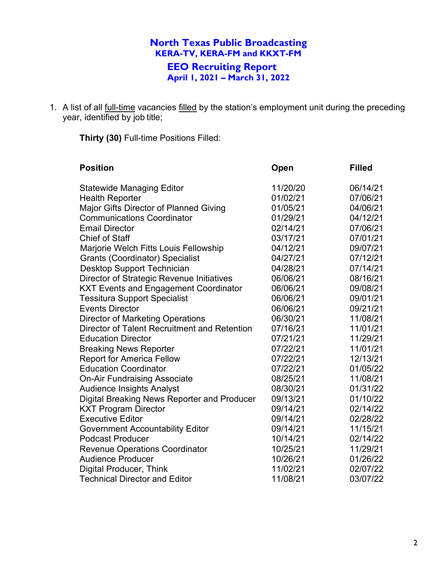1. A list of all full-time vacancies filled by the station's employment unit during the preceding year, identified by job title;

**Thirty (30)** Full-time Positions Filled:

| <b>Position</b>                              | <b>Open</b> | <b>Filled</b> |
|----------------------------------------------|-------------|---------------|
| <b>Statewide Managing Editor</b>             | 11/20/20    | 06/14/21      |
| <b>Health Reporter</b>                       | 01/02/21    | 07/06/21      |
| Major Gifts Director of Planned Giving       | 01/05/21    | 04/06/21      |
| <b>Communications Coordinator</b>            | 01/29/21    | 04/12/21      |
| <b>Email Director</b>                        | 02/14/21    | 07/06/21      |
| <b>Chief of Staff</b>                        | 03/17/21    | 07/01/21      |
| Marjorie Welch Fitts Louis Fellowship        | 04/12/21    | 09/07/21      |
| <b>Grants (Coordinator) Specialist</b>       | 04/27/21    | 07/12/21      |
| Desktop Support Technician                   | 04/28/21    | 07/14/21      |
| Director of Strategic Revenue Initiatives    | 06/06/21    | 08/16/21      |
| <b>KXT Events and Engagement Coordinator</b> | 06/06/21    | 09/08/21      |
| <b>Tessitura Support Specialist</b>          | 06/06/21    | 09/01/21      |
| <b>Events Director</b>                       | 06/06/21    | 09/21/21      |
| <b>Director of Marketing Operations</b>      | 06/30/21    | 11/08/21      |
| Director of Talent Recruitment and Retention | 07/16/21    | 11/01/21      |
| <b>Education Director</b>                    | 07/21/21    | 11/29/21      |
| <b>Breaking News Reporter</b>                | 07/22/21    | 11/01/21      |
| <b>Report for America Fellow</b>             | 07/22/21    | 12/13/21      |
| <b>Education Coordinator</b>                 | 07/22/21    | 01/05/22      |
| <b>On-Air Fundraising Associate</b>          | 08/25/21    | 11/08/21      |
| <b>Audience Insights Analyst</b>             | 08/30/21    | 01/31/22      |
| Digital Breaking News Reporter and Producer  | 09/13/21    | 01/10/22      |
| <b>KXT Program Director</b>                  | 09/14/21    | 02/14/22      |
| <b>Executive Editor</b>                      | 09/14/21    | 02/28/22      |
| <b>Government Accountability Editor</b>      | 09/14/21    | 11/15/21      |
| <b>Podcast Producer</b>                      | 10/14/21    | 02/14/22      |
| <b>Revenue Operations Coordinator</b>        | 10/25/21    | 11/29/21      |
| <b>Audience Producer</b>                     | 10/26/21    | 01/26/22      |
| Digital Producer, Think                      | 11/02/21    | 02/07/22      |
| <b>Technical Director and Editor</b>         | 11/08/21    | 03/07/22      |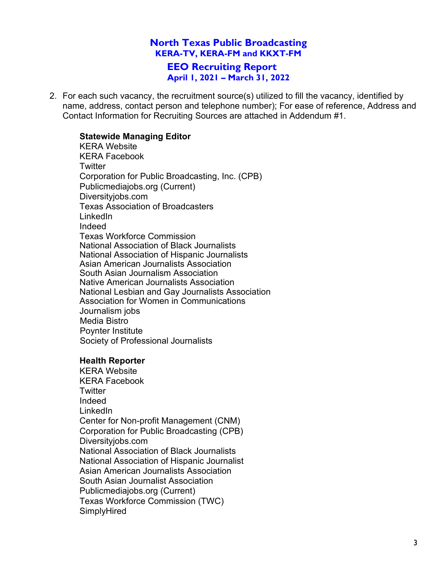## **North Texas Public Broadcasting KERA-TV, KERA-FM and KKXT-FM EEO Recruiting Report**

**April 1, 2021 – March 31, 2022**

2. For each such vacancy, the recruitment source(s) utilized to fill the vacancy, identified by name, address, contact person and telephone number); For ease of reference, Address and Contact Information for Recruiting Sources are attached in Addendum #1.

### **Statewide Managing Editor**

KERA Website KERA Facebook **Twitter** Corporation for Public Broadcasting, Inc. (CPB) Publicmediajobs.org (Current) Diversityjobs.com Texas Association of Broadcasters LinkedIn Indeed Texas Workforce Commission National Association of Black Journalists National Association of Hispanic Journalists Asian American Journalists Association South Asian Journalism Association Native American Journalists Association National Lesbian and Gay Journalists Association Association for Women in Communications Journalism jobs Media Bistro Poynter Institute Society of Professional Journalists

#### **Health Reporter**

KERA Website KERA Facebook **Twitter** Indeed LinkedIn Center for Non-profit Management (CNM) Corporation for Public Broadcasting (CPB) Diversityjobs.com National Association of Black Journalists National Association of Hispanic Journalist Asian American Journalists Association South Asian Journalist Association Publicmediajobs.org (Current) Texas Workforce Commission (TWC) SimplyHired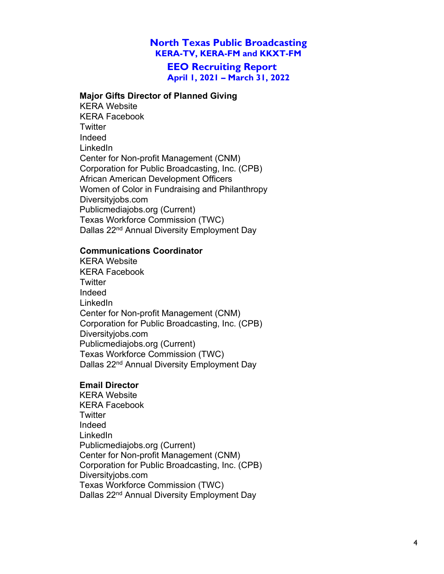**EEO Recruiting Report April 1, 2021 – March 31, 2022**

#### **Major Gifts Director of Planned Giving**

KERA Website KERA Facebook **Twitter** Indeed LinkedIn Center for Non-profit Management (CNM) Corporation for Public Broadcasting, Inc. (CPB) African American Development Officers Women of Color in Fundraising and Philanthropy Diversityjobs.com Publicmediajobs.org (Current) Texas Workforce Commission (TWC) Dallas 22<sup>nd</sup> Annual Diversity Employment Day

#### **Communications Coordinator**

KERA Website KERA Facebook **Twitter** Indeed LinkedIn Center for Non-profit Management (CNM) Corporation for Public Broadcasting, Inc. (CPB) Diversityjobs.com Publicmediajobs.org (Current) Texas Workforce Commission (TWC) Dallas 22<sup>nd</sup> Annual Diversity Employment Day

#### **Email Director**

KERA Website KERA Facebook **Twitter** Indeed LinkedIn Publicmediajobs.org (Current) Center for Non-profit Management (CNM) Corporation for Public Broadcasting, Inc. (CPB) Diversityjobs.com Texas Workforce Commission (TWC) Dallas 22<sup>nd</sup> Annual Diversity Employment Day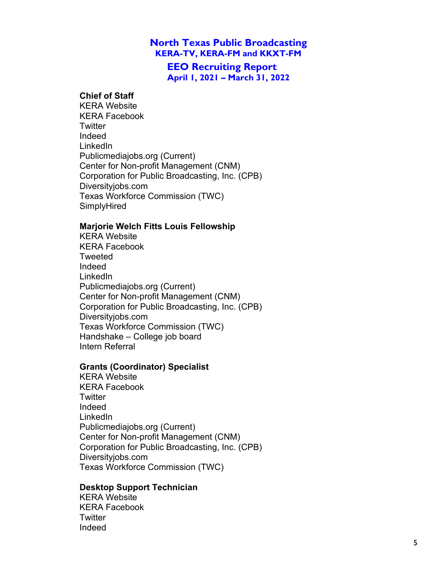**EEO Recruiting Report April 1, 2021 – March 31, 2022**

### **Chief of Staff**

KERA Website KERA Facebook **Twitter** Indeed LinkedIn Publicmediajobs.org (Current) Center for Non-profit Management (CNM) Corporation for Public Broadcasting, Inc. (CPB) Diversityjobs.com Texas Workforce Commission (TWC) SimplyHired

#### **Marjorie Welch Fitts Louis Fellowship**

KERA Website KERA Facebook **Tweeted** Indeed LinkedIn Publicmediajobs.org (Current) Center for Non-profit Management (CNM) Corporation for Public Broadcasting, Inc. (CPB) Diversityjobs.com Texas Workforce Commission (TWC) Handshake – College job board Intern Referral

#### **Grants (Coordinator) Specialist**

KERA Website KERA Facebook **Twitter** Indeed LinkedIn Publicmediajobs.org (Current) Center for Non-profit Management (CNM) Corporation for Public Broadcasting, Inc. (CPB) Diversityjobs.com Texas Workforce Commission (TWC)

#### **Desktop Support Technician**

KERA Website KERA Facebook **Twitter** Indeed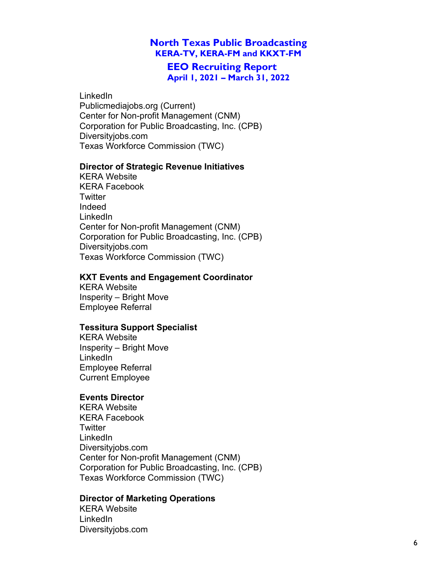### **EEO Recruiting Report April 1, 2021 – March 31, 2022**

#### LinkedIn

Publicmediajobs.org (Current) Center for Non-profit Management (CNM) Corporation for Public Broadcasting, Inc. (CPB) Diversityjobs.com Texas Workforce Commission (TWC)

#### **Director of Strategic Revenue Initiatives**

KERA Website KERA Facebook **Twitter** Indeed LinkedIn Center for Non-profit Management (CNM) Corporation for Public Broadcasting, Inc. (CPB) Diversityjobs.com Texas Workforce Commission (TWC)

#### **KXT Events and Engagement Coordinator**

KERA Website Insperity – Bright Move Employee Referral

#### **Tessitura Support Specialist**

KERA Website Insperity – Bright Move LinkedIn Employee Referral Current Employee

#### **Events Director**

KERA Website KERA Facebook **Twitter** LinkedIn Diversityjobs.com Center for Non-profit Management (CNM) Corporation for Public Broadcasting, Inc. (CPB) Texas Workforce Commission (TWC)

#### **Director of Marketing Operations**

KERA Website LinkedIn Diversityjobs.com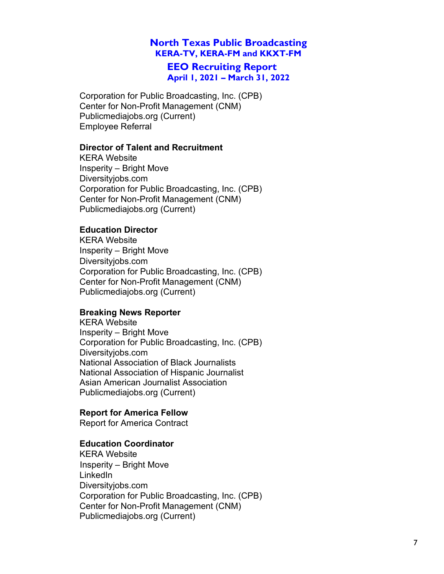**EEO Recruiting Report April 1, 2021 – March 31, 2022**

Corporation for Public Broadcasting, Inc. (CPB) Center for Non-Profit Management (CNM) Publicmediajobs.org (Current) Employee Referral

#### **Director of Talent and Recruitment**

KERA Website Insperity – Bright Move Diversityjobs.com Corporation for Public Broadcasting, Inc. (CPB) Center for Non-Profit Management (CNM) Publicmediajobs.org (Current)

#### **Education Director**

KERA Website Insperity – Bright Move Diversityjobs.com Corporation for Public Broadcasting, Inc. (CPB) Center for Non-Profit Management (CNM) Publicmediajobs.org (Current)

#### **Breaking News Reporter**

KERA Website Insperity – Bright Move Corporation for Public Broadcasting, Inc. (CPB) Diversityjobs.com National Association of Black Journalists National Association of Hispanic Journalist Asian American Journalist Association Publicmediajobs.org (Current)

#### **Report for America Fellow**

Report for America Contract

#### **Education Coordinator**

KERA Website Insperity – Bright Move LinkedIn Diversityjobs.com Corporation for Public Broadcasting, Inc. (CPB) Center for Non-Profit Management (CNM) Publicmediajobs.org (Current)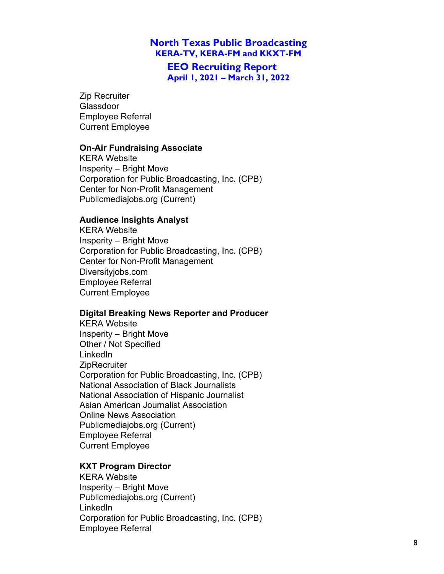**EEO Recruiting Report April 1, 2021 – March 31, 2022**

Zip Recruiter Glassdoor Employee Referral Current Employee

#### **On-Air Fundraising Associate**

KERA Website Insperity – Bright Move Corporation for Public Broadcasting, Inc. (CPB) Center for Non-Profit Management Publicmediajobs.org (Current)

#### **Audience Insights Analyst**

KERA Website Insperity – Bright Move Corporation for Public Broadcasting, Inc. (CPB) Center for Non-Profit Management Diversityjobs.com Employee Referral Current Employee

#### **Digital Breaking News Reporter and Producer**

KERA Website Insperity – Bright Move Other / Not Specified LinkedIn **ZipRecruiter** Corporation for Public Broadcasting, Inc. (CPB) National Association of Black Journalists National Association of Hispanic Journalist Asian American Journalist Association Online News Association Publicmediajobs.org (Current) Employee Referral Current Employee

#### **KXT Program Director**

KERA Website Insperity – Bright Move Publicmediajobs.org (Current) LinkedIn Corporation for Public Broadcasting, Inc. (CPB) Employee Referral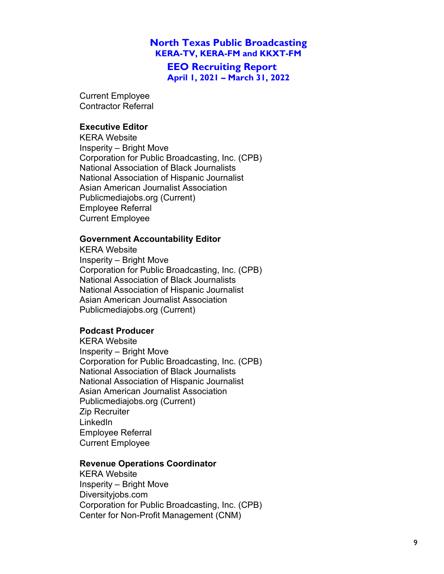**EEO Recruiting Report April 1, 2021 – March 31, 2022**

Current Employee Contractor Referral

### **Executive Editor**

KERA Website Insperity – Bright Move Corporation for Public Broadcasting, Inc. (CPB) National Association of Black Journalists National Association of Hispanic Journalist Asian American Journalist Association Publicmediajobs.org (Current) Employee Referral Current Employee

#### **Government Accountability Editor**

KERA Website Insperity – Bright Move Corporation for Public Broadcasting, Inc. (CPB) National Association of Black Journalists National Association of Hispanic Journalist Asian American Journalist Association Publicmediajobs.org (Current)

## **Podcast Producer**

KERA Website Insperity – Bright Move Corporation for Public Broadcasting, Inc. (CPB) National Association of Black Journalists National Association of Hispanic Journalist Asian American Journalist Association Publicmediajobs.org (Current) Zip Recruiter LinkedIn Employee Referral Current Employee

#### **Revenue Operations Coordinator**

KERA Website Insperity – Bright Move Diversityjobs.com Corporation for Public Broadcasting, Inc. (CPB) Center for Non-Profit Management (CNM)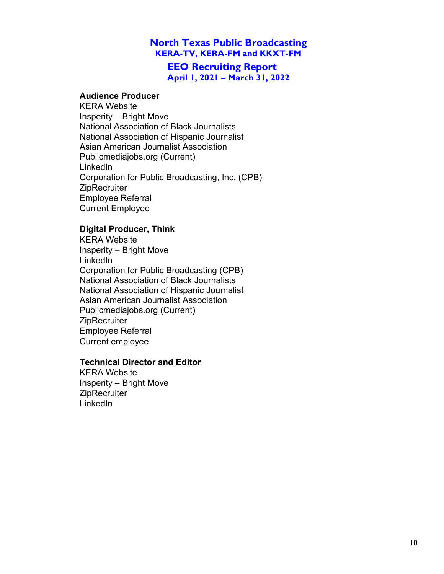**EEO Recruiting Report April 1, 2021 – March 31, 2022**

#### **Audience Producer**

KERA Website Insperity – Bright Move National Association of Black Journalists National Association of Hispanic Journalist Asian American Journalist Association Publicmediajobs.org (Current) LinkedIn Corporation for Public Broadcasting, Inc. (CPB) **ZipRecruiter** Employee Referral Current Employee

## **Digital Producer, Think**

KERA Website Insperity – Bright Move LinkedIn Corporation for Public Broadcasting (CPB) National Association of Black Journalists National Association of Hispanic Journalist Asian American Journalist Association Publicmediajobs.org (Current) **ZipRecruiter** Employee Referral Current employee

#### **Technical Director and Editor**

KERA Website Insperity – Bright Move **ZipRecruiter LinkedIn**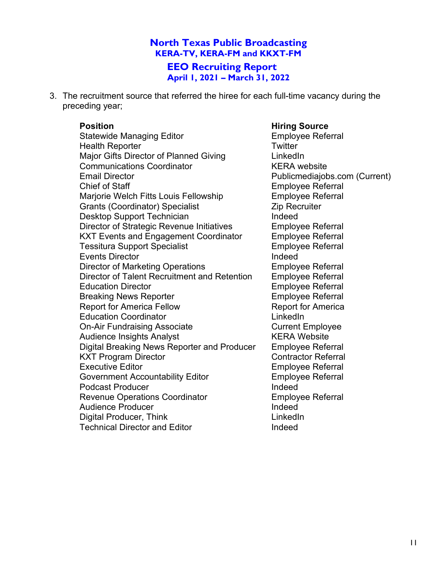**EEO Recruiting Report April 1, 2021 – March 31, 2022**

3. The recruitment source that referred the hiree for each full-time vacancy during the preceding year;

Statewide Managing Editor **Employee Referral** Health Reporter **Twitter** Twitter Major Gifts Director of Planned Giving Theorem LinkedIn Communications Coordinator **KERA** website<br>
Email Director Coordinator<br>
Publicmediaio Chief of Staff **Employee Referral** Marjorie Welch Fitts Louis Fellowship **Employee Referral** Grants (Coordinator) Specialist **Example 2** Zip Recruiter Desktop Support Technician Indeed Director of Strategic Revenue Initiatives Employee Referral KXT Events and Engagement Coordinator Employee Referral Tessitura Support Specialist **Employee Referral** Events Director **Indeed** Director of Marketing Operations **Employee Referral** Director of Talent Recruitment and Retention Employee Referral Education Director **Employee Referral** Breaking News Reporter **Employee Referral** Report for America Fellow Report for America Education Coordinator **LinkedIn** On-Air Fundraising Associate Current Employee Audience Insights Analyst **KERA Website** Digital Breaking News Reporter and Producer Employee Referral KXT Program Director Contractor Referral Executive Editor **Employee Referral** Government Accountability Editor **Employee Referral** Podcast Producer **Indeed** Revenue Operations Coordinator **Employee Referral** Audience Producer **Indeed** Digital Producer, Think LinkedIn Technical Director and Editor **Indeed** 

#### **Position Hiring Source**

Publicmediajobs.com (Current)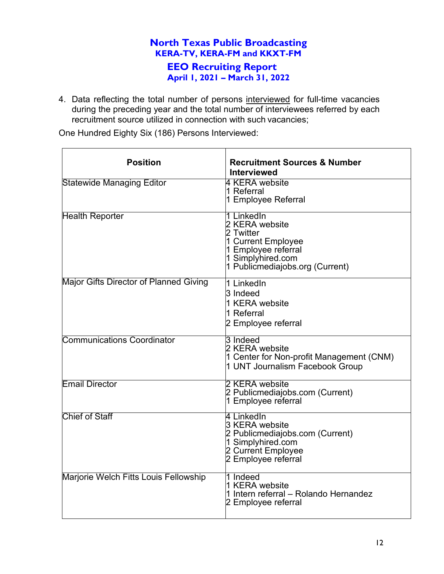4. Data reflecting the total number of persons interviewed for full-time vacancies during the preceding year and the total number of interviewees referred by each recruitment source utilized in connection with such vacancies;

One Hundred Eighty Six (186) Persons Interviewed:

| <b>Position</b>                               | <b>Recruitment Sources &amp; Number</b><br><b>Interviewed</b>                                                                                  |
|-----------------------------------------------|------------------------------------------------------------------------------------------------------------------------------------------------|
| <b>Statewide Managing Editor</b>              | 4 KERA website<br>1 Referral<br>1 Employee Referral                                                                                            |
| <b>Health Reporter</b>                        | 1 LinkedIn<br>2 KERA website<br>2 Twitter<br>1 Current Employee<br>1 Employee referral<br>1 Simplyhired.com<br>1 Publicmediajobs.org (Current) |
| <b>Major Gifts Director of Planned Giving</b> | 1 LinkedIn<br>3 Indeed<br>1 KERA website<br>1 Referral<br>2 Employee referral                                                                  |
| <b>Communications Coordinator</b>             | 3 Indeed<br>2 KERA website<br>1 Center for Non-profit Management (CNM)<br>1 UNT Journalism Facebook Group                                      |
| <b>Email Director</b>                         | 2 KERA website<br>2 Publicmediajobs.com (Current)<br>1 Employee referral                                                                       |
| <b>Chief of Staff</b>                         | 4 LinkedIn<br>3 KERA website<br>2 Publicmediajobs.com (Current)<br>1 Simplyhired.com<br>2 Current Employee<br>2 Employee referral              |
| Marjorie Welch Fitts Louis Fellowship         | 1 Indeed<br>1 KERA website<br>1 Intern referral - Rolando Hernandez<br>2 Employee referral                                                     |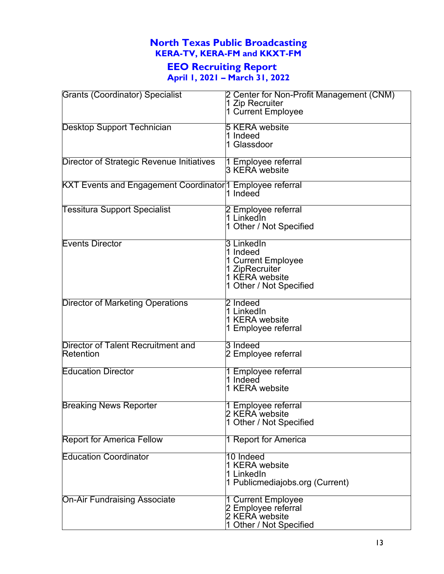# **EEO Recruiting Report**

**April 1, 2021 – March 31, 2022**

| <b>Grants (Coordinator) Specialist</b>                           | 2 Center for Non-Profit Management (CNM)<br>1 Zip Recruiter<br>1 Current Employee                           |
|------------------------------------------------------------------|-------------------------------------------------------------------------------------------------------------|
| Desktop Support Technician                                       | <b>5 KERA website</b><br>1 Indeed<br>1 Glassdoor                                                            |
| Director of Strategic Revenue Initiatives                        | 1 Employee referral<br>3 KERA website                                                                       |
| <b>KXT Events and Engagement Coordinator 1 Employee referral</b> | 1 Indeed                                                                                                    |
| <b>Tessitura Support Specialist</b>                              | 2 Employee referral<br>1 LinkedIn<br>1 Other / Not Specified                                                |
| <b>Events Director</b>                                           | 3 LinkedIn<br>1 Indeed<br>1 Current Employee<br>1 ZipRecruiter<br>1 KERA website<br>1 Other / Not Specified |
| Director of Marketing Operations                                 | 2 Indeed<br>1 LinkedIn<br>1 KERA website<br>1 Employee referral                                             |
| Director of Talent Recruitment and<br>Retention                  | 3 Indeed<br>2 Employee referral                                                                             |
| <b>Education Director</b>                                        | 1 Employee referral<br>1 Indeed<br>1 KERA website                                                           |
| <b>Breaking News Reporter</b>                                    | 1 Employee referral<br>2 KERA website<br>1 Other / Not Specified                                            |
| <b>Report for America Fellow</b>                                 | 1 Report for America                                                                                        |
| <b>Education Coordinator</b>                                     | 10 Indeed<br>1 KERA website<br>1 LinkedIn<br>1 Publicmediajobs.org (Current)                                |
| <b>On-Air Fundraising Associate</b>                              | 1 Current Employee<br>2 Employee referral<br>2 KERA website<br>1 Other / Not Specified                      |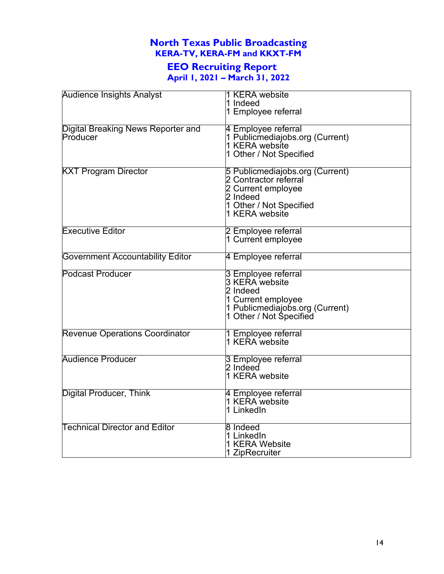# **EEO Recruiting Report**

**April 1, 2021 – March 31, 2022**

| <b>Audience Insights Analyst</b>        | 1 KERA website                  |
|-----------------------------------------|---------------------------------|
|                                         | 1 Indeed                        |
|                                         | 1 Employee referral             |
|                                         |                                 |
| Digital Breaking News Reporter and      | 4 Employee referral             |
| Producer                                | 1 Publicmediajobs.org (Current) |
|                                         | 1 KERA website                  |
|                                         | 1 Other / Not Specified         |
|                                         |                                 |
| <b>KXT Program Director</b>             | 5 Publicmediajobs.org (Current) |
|                                         | 2 Contractor referral           |
|                                         | 2 Current employee              |
|                                         | 2 Indeed                        |
|                                         | 1 Other / Not Specified         |
|                                         | 1 KERA website                  |
|                                         |                                 |
| <b>Executive Editor</b>                 | 2 Employee referral             |
|                                         | 1 Current employee              |
|                                         |                                 |
| <b>Government Accountability Editor</b> | 4 Employee referral             |
| <b>Podcast Producer</b>                 | 3 Employee referral             |
|                                         | 3 KERA website                  |
|                                         | 2 Indeed                        |
|                                         |                                 |
|                                         | 1 Current employee              |
|                                         | 1 Publicmediajobs.org (Current) |
|                                         | 1 Other / Not Specified         |
| <b>Revenue Operations Coordinator</b>   | 1 Employee referral             |
|                                         | 1 KERA website                  |
|                                         |                                 |
| <b>Audience Producer</b>                | 3 Employee referral             |
|                                         | 2 Indeed                        |
|                                         | 1 KERA website                  |
|                                         |                                 |
| Digital Producer, Think                 | 4 Employee referral             |
|                                         | 1 KERA website                  |
|                                         | 1 LinkedIn                      |
| <b>Technical Director and Editor</b>    | 8 Indeed                        |
|                                         | 1 LinkedIn                      |
|                                         | 1 KERA Website                  |
|                                         | 1 ZipRecruiter                  |
|                                         |                                 |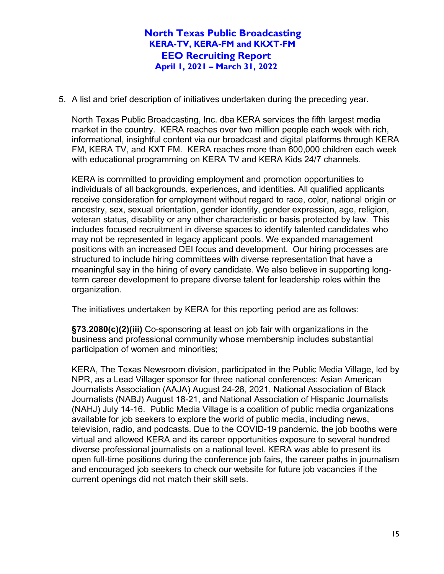5. A list and brief description of initiatives undertaken during the preceding year.

North Texas Public Broadcasting, Inc. dba KERA services the fifth largest media market in the country. KERA reaches over two million people each week with rich, informational, insightful content via our broadcast and digital platforms through KERA FM, KERA TV, and KXT FM.KERA reaches more than 600,000 children each week with educational programming on KERA TV and KERA Kids 24/7 channels.

KERA is committed to providing employment and promotion opportunities to individuals of all backgrounds, experiences, and identities. All qualified applicants receive consideration for employment without regard to race, color, national origin or ancestry, sex, sexual orientation, gender identity, gender expression, age, religion, veteran status, disability or any other characteristic or basis protected by law. This includes focused recruitment in diverse spaces to identify talented candidates who may not be represented in legacy applicant pools. We expanded management positions with an increased DEI focus and development. Our hiring processes are structured to include hiring committees with diverse representation that have a meaningful say in the hiring of every candidate. We also believe in supporting longterm career development to prepare diverse talent for leadership roles within the organization.

The initiatives undertaken by KERA for this reporting period are as follows:

**§73.2080(c)(2)(iii)** Co-sponsoring at least on job fair with organizations in the business and professional community whose membership includes substantial participation of women and minorities;

KERA, The Texas Newsroom division, participated in the Public Media Village, led by NPR, as a Lead Villager sponsor for three national conferences: Asian American Journalists Association (AAJA) August 24-28, 2021, National Association of Black Journalists (NABJ) August 18-21, and National Association of Hispanic Journalists (NAHJ) July 14-16. Public Media Village is a coalition of public media organizations available for job seekers to explore the world of public media, including news, television, radio, and podcasts. Due to the COVID-19 pandemic, the job booths were virtual and allowed KERA and its career opportunities exposure to several hundred diverse professional journalists on a national level. KERA was able to present its open full-time positions during the conference job fairs, the career paths in journalism and encouraged job seekers to check our website for future job vacancies if the current openings did not match their skill sets.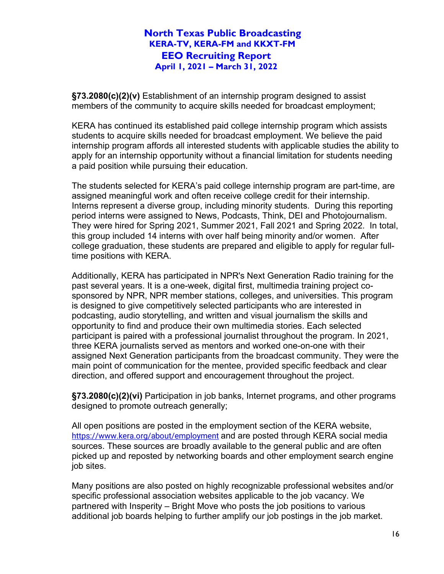**§73.2080(c)(2)(v)** Establishment of an internship program designed to assist members of the community to acquire skills needed for broadcast employment;

KERA has continued its established paid college internship program which assists students to acquire skills needed for broadcast employment. We believe the paid internship program affords all interested students with applicable studies the ability to apply for an internship opportunity without a financial limitation for students needing a paid position while pursuing their education.

The students selected for KERA's paid college internship program are part-time, are assigned meaningful work and often receive college credit for their internship. Interns represent a diverse group, including minority students. During this reporting period interns were assigned to News, Podcasts, Think, DEI and Photojournalism. They were hired for Spring 2021, Summer 2021, Fall 2021 and Spring 2022. In total, this group included 14 interns with over half being minority and/or women. After college graduation, these students are prepared and eligible to apply for regular fulltime positions with KERA.

Additionally, KERA has participated in NPR's Next Generation Radio training for the past several years. It is a one-week, digital first, multimedia training project cosponsored by NPR, NPR member stations, colleges, and universities. This program is designed to give competitively selected participants who are interested in podcasting, audio storytelling, and written and visual journalism the skills and opportunity to find and produce their own multimedia stories. Each selected participant is paired with a professional journalist throughout the program. In 2021, three KERA journalists served as mentors and worked one-on-one with their assigned Next Generation participants from the broadcast community. They were the main point of communication for the mentee, provided specific feedback and clear direction, and offered support and encouragement throughout the project.

**§73.2080(c)(2)(vi)** Participation in job banks, Internet programs, and other programs designed to promote outreach generally;

All open positions are posted in the employment section of the KERA website, <https://www.kera.org/about/employment> and are posted through KERA social media sources. These sources are broadly available to the general public and are often picked up and reposted by networking boards and other employment search engine job sites.

Many positions are also posted on highly recognizable professional websites and/or specific professional association websites applicable to the job vacancy. We partnered with Insperity – Bright Move who posts the job positions to various additional job boards helping to further amplify our job postings in the job market.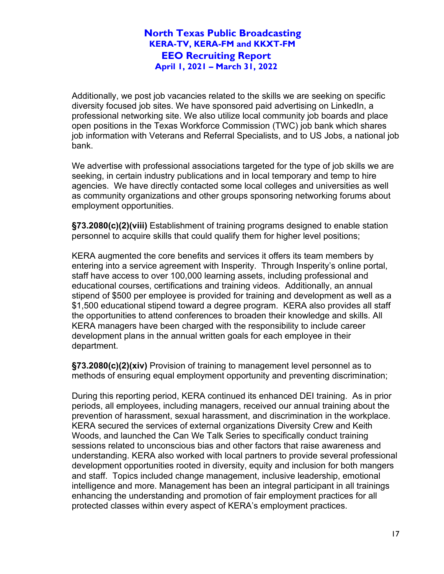Additionally, we post job vacancies related to the skills we are seeking on specific diversity focused job sites. We have sponsored paid advertising on LinkedIn, a professional networking site. We also utilize local community job boards and place open positions in the Texas Workforce Commission (TWC) job bank which shares job information with Veterans and Referral Specialists, and to US Jobs, a national job bank.

We advertise with professional associations targeted for the type of job skills we are seeking, in certain industry publications and in local temporary and temp to hire agencies. We have directly contacted some local colleges and universities as well as community organizations and other groups sponsoring networking forums about employment opportunities.

**§73.2080(c)(2)(viii)** Establishment of training programs designed to enable station personnel to acquire skills that could qualify them for higher level positions;

KERA augmented the core benefits and services it offers its team members by entering into a service agreement with Insperity. Through Insperity's online portal, staff have access to over 100,000 learning assets, including professional and educational courses, certifications and training videos. Additionally, an annual stipend of \$500 per employee is provided for training and development as well as a \$1,500 educational stipend toward a degree program. KERA also provides all staff the opportunities to attend conferences to broaden their knowledge and skills. All KERA managers have been charged with the responsibility to include career development plans in the annual written goals for each employee in their department.

**§73.2080(c)(2)(xiv)** Provision of training to management level personnel as to methods of ensuring equal employment opportunity and preventing discrimination;

During this reporting period, KERA continued its enhanced DEI training. As in prior periods, all employees, including managers, received our annual training about the prevention of harassment, sexual harassment, and discrimination in the workplace. KERA secured the services of external organizations Diversity Crew and Keith Woods, and launched the Can We Talk Series to specifically conduct training sessions related to unconscious bias and other factors that raise awareness and understanding. KERA also worked with local partners to provide several professional development opportunities rooted in diversity, equity and inclusion for both mangers and staff. Topics included change management, inclusive leadership, emotional intelligence and more. Management has been an integral participant in all trainings enhancing the understanding and promotion of fair employment practices for all protected classes within every aspect of KERA's employment practices.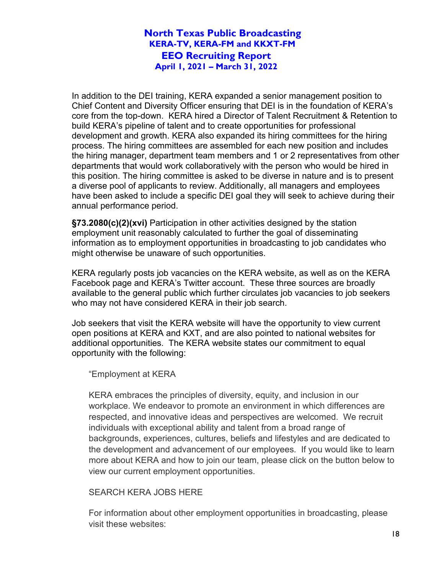In addition to the DEI training, KERA expanded a senior management position to Chief Content and Diversity Officer ensuring that DEI is in the foundation of KERA's core from the top-down. KERA hired a Director of Talent Recruitment & Retention to build KERA's pipeline of talent and to create opportunities for professional development and growth. KERA also expanded its hiring committees for the hiring process. The hiring committees are assembled for each new position and includes the hiring manager, department team members and 1 or 2 representatives from other departments that would work collaboratively with the person who would be hired in this position. The hiring committee is asked to be diverse in nature and is to present a diverse pool of applicants to review. Additionally, all managers and employees have been asked to include a specific DEI goal they will seek to achieve during their annual performance period.

**§73.2080(c)(2)(xvi)** Participation in other activities designed by the station employment unit reasonably calculated to further the goal of disseminating information as to employment opportunities in broadcasting to job candidates who might otherwise be unaware of such opportunities.

KERA regularly posts job vacancies on the KERA website, as well as on the KERA Facebook page and KERA's Twitter account. These three sources are broadly available to the general public which further circulates job vacancies to job seekers who may not have considered KERA in their job search.

Job seekers that visit the KERA website will have the opportunity to view current open positions at KERA and KXT, and are also pointed to national websites for additional opportunities. The KERA website states our commitment to equal opportunity with the following:

"Employment at KERA

KERA embraces the principles of diversity, equity, and inclusion in our workplace. We endeavor to promote an environment in which differences are respected, and innovative ideas and perspectives are welcomed. We recruit individuals with exceptional ability and talent from a broad range of backgrounds, experiences, cultures, beliefs and lifestyles and are dedicated to the development and advancement of our employees. If you would like to learn more about KERA and how to join our team, please click on the button below to view our current employment opportunities.

#### SEARCH KERA JOBS HERE

For information about other employment opportunities in broadcasting, please visit these websites: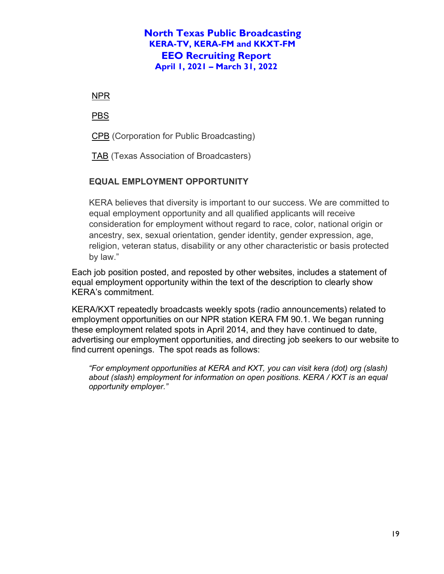[NPR](http://www.npr.org/about/careers/)

[PBS](http://www.pbs.org/about/careers/job-openings/)

[CPB](http://www.cpb.org/jobline/) (Corporation for Public Broadcasting)

[TAB](https://www.tab.org/job-bank) (Texas Association of Broadcasters)

## **EQUAL EMPLOYMENT OPPORTUNITY**

KERA believes that diversity is important to our success. We are committed to equal employment opportunity and all qualified applicants will receive consideration for employment without regard to race, color, national origin or ancestry, sex, sexual orientation, gender identity, gender expression, age, religion, veteran status, disability or any other characteristic or basis protected by law."

Each job position posted, and reposted by other websites, includes a statement of equal employment opportunity within the text of the description to clearly show KERA's commitment.

KERA/KXT repeatedly broadcasts weekly spots (radio announcements) related to employment opportunities on our NPR station KERA FM 90.1. We began running these employment related spots in April 2014, and they have continued to date, advertising our employment opportunities, and directing job seekers to our website to find current openings. The spot reads as follows:

*"For employment opportunities at KERA and KXT, you can visit kera (dot) org (slash) about (slash) employment for information on open positions. KERA / KXT is an equal opportunity employer."*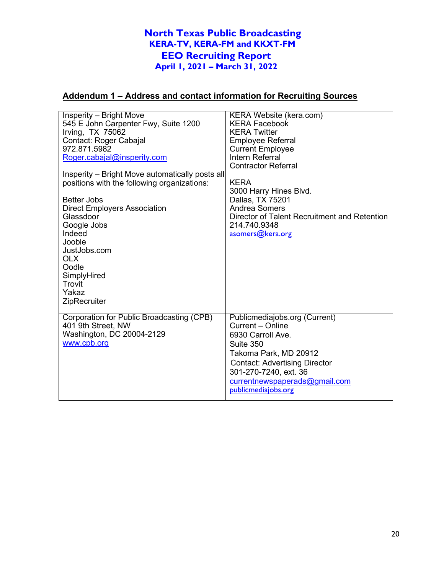## **Addendum 1 – Address and contact information for Recruiting Sources**

| Insperity - Bright Move<br>545 E John Carpenter Fwy, Suite 1200<br>Irving, $TX$ 75062<br>Contact: Roger Cabajal<br>972.871.5982<br>Roger.cabajal@insperity.com<br>Insperity – Bright Move automatically posts all<br>positions with the following organizations:<br><b>Better Jobs</b> | <b>KERA Website (kera.com)</b><br><b>KERA Facebook</b><br><b>KERA Twitter</b><br><b>Employee Referral</b><br><b>Current Employee</b><br>Intern Referral<br><b>Contractor Referral</b><br><b>KERA</b><br>3000 Harry Hines Blvd.<br>Dallas, TX 75201 |
|----------------------------------------------------------------------------------------------------------------------------------------------------------------------------------------------------------------------------------------------------------------------------------------|----------------------------------------------------------------------------------------------------------------------------------------------------------------------------------------------------------------------------------------------------|
| <b>Direct Employers Association</b><br>Glassdoor<br>Google Jobs<br>Indeed<br>Jooble<br>JustJobs.com<br><b>OLX</b><br>Oodle<br>SimplyHired<br>Trovit<br>Yakaz<br>ZipRecruiter                                                                                                           | <b>Andrea Somers</b><br>Director of Talent Recruitment and Retention<br>214.740.9348<br>asomers@kera.org                                                                                                                                           |
| Corporation for Public Broadcasting (CPB)<br>401 9th Street, NW<br>Washington, DC 20004-2129<br>www.cpb.org                                                                                                                                                                            | Publicmediajobs.org (Current)<br>Current - Online<br>6930 Carroll Ave.<br>Suite 350<br>Takoma Park, MD 20912<br><b>Contact: Advertising Director</b><br>301-270-7240, ext. 36<br>currentnewspaperads@gmail.com<br>publicmediajobs.org              |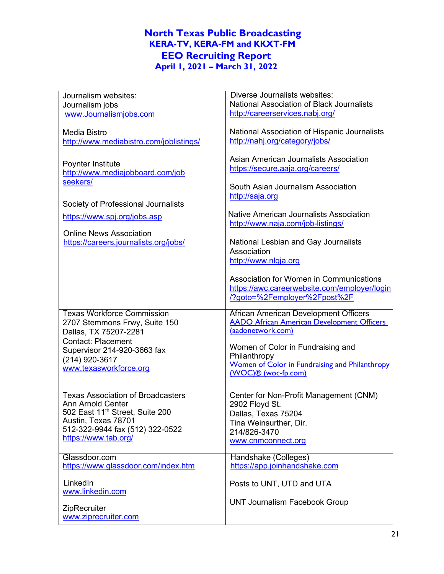|                                                                    | Diverse Journalists websites:                         |
|--------------------------------------------------------------------|-------------------------------------------------------|
| Journalism websites:                                               |                                                       |
| Journalism jobs                                                    | National Association of Black Journalists             |
| www.Journalismjobs.com                                             | http://careerservices.nabj.org/                       |
|                                                                    |                                                       |
| <b>Media Bistro</b>                                                | National Association of Hispanic Journalists          |
| http://www.mediabistro.com/joblistings/                            | http://nahj.org/category/jobs/                        |
|                                                                    |                                                       |
| Poynter Institute                                                  | Asian American Journalists Association                |
| http://www.mediajobboard.com/job                                   | https://secure.aaja.org/careers/                      |
|                                                                    |                                                       |
| seekers/                                                           | South Asian Journalism Association                    |
|                                                                    | http://saja.org                                       |
| Society of Professional Journalists                                |                                                       |
|                                                                    | <b>Native American Journalists Association</b>        |
| https://www.spj.org/jobs.asp                                       |                                                       |
|                                                                    | http://www.naja.com/job-listings/                     |
| <b>Online News Association</b>                                     |                                                       |
| https://careers.journalists.org/jobs/                              | National Lesbian and Gay Journalists                  |
|                                                                    | Association                                           |
|                                                                    | http://www.nlgja.org                                  |
|                                                                    |                                                       |
|                                                                    | Association for Women in Communications               |
|                                                                    | https://awc.careerwebsite.com/employer/login          |
|                                                                    | /?goto=%2Femployer%2Fpost%2F                          |
|                                                                    |                                                       |
|                                                                    |                                                       |
| <b>Texas Workforce Commission</b>                                  | African American Development Officers                 |
| 2707 Stemmons Frwy, Suite 150                                      | <b>AADO African American Development Officers</b>     |
| Dallas, TX 75207-2281                                              | (aadonetwork.com)                                     |
| <b>Contact: Placement</b>                                          |                                                       |
| Supervisor 214-920-3663 fax                                        | Women of Color in Fundraising and                     |
|                                                                    | Philanthropy                                          |
| (214) 920-3617                                                     | <b>Women of Color in Fundraising and Philanthropy</b> |
| www.texasworkforce.org                                             | (WOC)® (woc-fp.com)                                   |
|                                                                    |                                                       |
| <b>Texas Association of Broadcasters</b>                           |                                                       |
| <b>Ann Arnold Center</b>                                           | Center for Non-Profit Management (CNM)                |
|                                                                    | 2902 Floyd St.                                        |
| 502 East 11 <sup>th</sup> Street, Suite 200<br>Austin, Texas 78701 | Dallas, Texas 75204                                   |
| 512-322-9944 fax (512) 322-0522                                    | Tina Weinsurther, Dir.                                |
| https://www.tab.org/                                               | 214/826-3470                                          |
|                                                                    | www.cnmconnect.org                                    |
| Glassdoor.com                                                      |                                                       |
| https://www.glassdoor.com/index.htm                                | Handshake (Colleges)<br>https://app.joinhandshake.com |
|                                                                    |                                                       |
| LinkedIn                                                           | Posts to UNT, UTD and UTA                             |
| www.linkedin.com                                                   |                                                       |
|                                                                    |                                                       |
| ZipRecruiter                                                       | <b>UNT Journalism Facebook Group</b>                  |
| www.ziprecruiter.com                                               |                                                       |